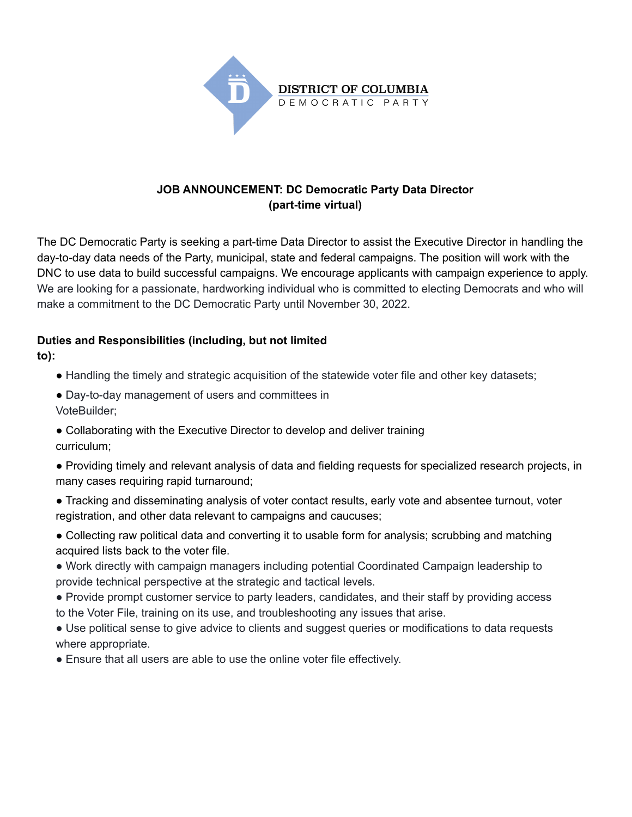

### **JOB ANNOUNCEMENT: DC Democratic Party Data Director (part-time virtual)**

The DC Democratic Party is seeking a part-time Data Director to assist the Executive Director in handling the day-to-day data needs of the Party, municipal, state and federal campaigns. The position will work with the DNC to use data to build successful campaigns. We encourage applicants with campaign experience to apply. We are looking for a passionate, hardworking individual who is committed to electing Democrats and who will make a commitment to the DC Democratic Party until November 30, 2022.

# **Duties and Responsibilities (including, but not limited**

**to):**

- Handling the timely and strategic acquisition of the statewide voter file and other key datasets;
- Day-to-day management of users and committees in VoteBuilder;
- Collaborating with the Executive Director to develop and deliver training curriculum;
- Providing timely and relevant analysis of data and fielding requests for specialized research projects, in many cases requiring rapid turnaround;
- Tracking and disseminating analysis of voter contact results, early vote and absentee turnout, voter registration, and other data relevant to campaigns and caucuses;
- Collecting raw political data and converting it to usable form for analysis; scrubbing and matching acquired lists back to the voter file.
- Work directly with campaign managers including potential Coordinated Campaign leadership to provide technical perspective at the strategic and tactical levels.
- Provide prompt customer service to party leaders, candidates, and their staff by providing access to the Voter File, training on its use, and troubleshooting any issues that arise.
- Use political sense to give advice to clients and suggest queries or modifications to data requests where appropriate.
- Ensure that all users are able to use the online voter file effectively.